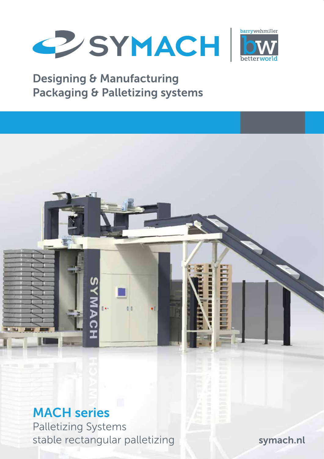



### Designing & Manufacturing Packaging & Palletizing systems

# MACH series

Palletizing Systems stable rectangular palletizing

symach.nl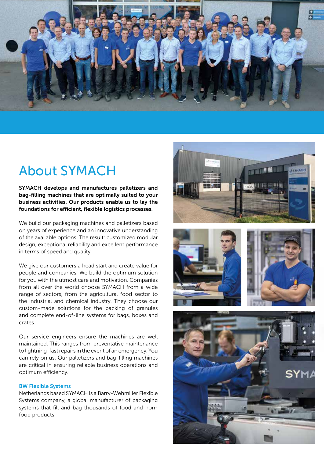

# About SYMACH

SYMACH develops and manufactures palletizers and bag-filling machines that are optimally suited to your business activities. Our products enable us to lay the foundations for efficient, flexible logistics processes.

We build our packaging machines and palletizers based on years of experience and an innovative understanding of the available options. The result: customized modular design, exceptional reliability and excellent performance in terms of speed and quality.

We give our customers a head start and create value for people and companies. We build the optimum solution for you with the utmost care and motivation. Companies from all over the world choose SYMACH from a wide range of sectors, from the agricultural food sector to the industrial and chemical industry. They choose our custom-made solutions for the packing of granules and complete end-of-line systems for bags, boxes and crates.

Our service engineers ensure the machines are well maintained. This ranges from preventative maintenance to lightning-fast repairs in the event of an emergency. You can rely on us. Our palletizers and bag-filling machines are critical in ensuring reliable business operations and optimum efficiency.

#### BW Flexible Systems

Netherlands based SYMACH is a Barry-Wehmiller Flexible Systems company, a global manufacturer of packaging systems that fill and bag thousands of food and nonfood products.







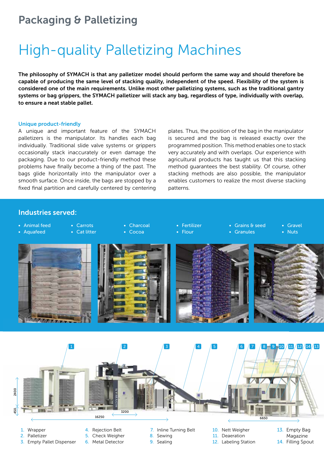### Packaging & Palletizing

# High-quality Palletizing Machines

The philosophy of SYMACH is that any palletizer model should perform the same way and should therefore be capable of producing the same level of stacking quality, independent of the speed. Flexibility of the system is considered one of the main requirements. Unlike most other palletizing systems, such as the traditional gantry systems or bag grippers, the SYMACH palletizer will stack any bag, regardless of type, individually with overlap, to ensure a neat stable pallet.

#### Unique product-friendly

A unique and important feature of the SYMACH palletizers is the manipulator. Its handles each bag individually. Traditional slide valve systems or grippers occasionally stack inaccurately or even damage the packaging. Due to our product-friendly method these problems have finally become a thing of the past. The bags glide horizontally into the manipulator over a smooth surface. Once inside, the bags are stopped by a fixed final partition and carefully centered by centering

plates. Thus, the position of the bag in the manipulator is secured and the bag is released exactly over the programmed position. This method enables one to stack very accurately and with overlaps. Our experience with agricultural products has taught us that this stacking method guarantees the best stability. Of course, other stacking methods are also possible, the manipulator enables customers to realize the most diverse stacking patterns.

### Industries served:

1 2 3 4 5 6 7 8 9 10 11 12 14 13 • Animal feed • Aquafeed • Carrots • Cat litter • Charcoal • Cocoa • Fertilizer • Flour • Grains & seed **Granules** • Gravel **Nuts** 

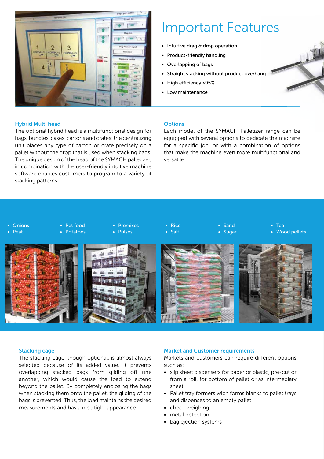

# Important Features

- Intuitive drag & drop operation
- Product-friendly handling
- Overlapping of bags
- Straight stacking without product overhang
- High efficiency >95%
- Low maintenance

#### Hybrid Multi head

The optional hybrid head is a multifunctional design for bags, bundles, cases, cartons and crates: the centralizing unit places any type of carton or crate precisely on a pallet without the drop that is used when stacking bags. The unique design of the head of the SYMACH palletizer, in combination with the user-friendly intuitive machine software enables customers to program to a variety of stacking patterns.

#### **Options**

Each model of the SYMACH Palletizer range can be equipped with several options to dedicate the machine for a specific job, or with a combination of options that make the machine even more multifunctional and versatile.



#### Stacking cage

The stacking cage, though optional, is almost always selected because of its added value. It prevents overlapping stacked bags from gliding off one another, which would cause the load to extend beyond the pallet. By completely enclosing the bags when stacking them onto the pallet, the gliding of the bags is prevented. Thus, the load maintains the desired measurements and has a nice tight appearance.

#### Market and Customer requirements

Markets and customers can require different options such as:

- slip sheet dispensers for paper or plastic, pre-cut or from a roll, for bottom of pallet or as intermediary sheet
- Pallet tray formers wich forms blanks to pallet trays and dispenses to an empty pallet
- check weighing
- metal detection
- bag ejection systems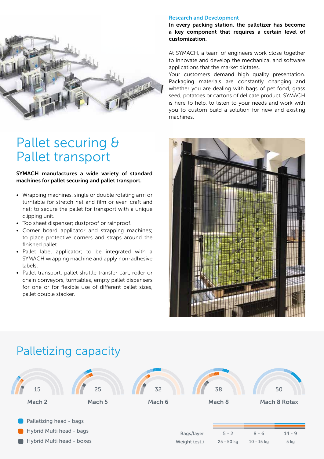

# Pallet securing & Pallet transport

### SYMACH manufactures a wide variety of standard machines for pallet securing and pallet transport.

- Wrapping machines, single or double rotating arm or turntable for stretch net and film or even craft and net; to secure the pallet for transport with a unique clipping unit.
- Top sheet dispenser; dustproof or rainproof.
- Corner board applicator and strapping machines; to place protective corners and straps around the finished pallet.
- Pallet label applicator; to be integrated with a SYMACH wrapping machine and apply non-adhesive labels.
- Pallet transport; pallet shuttle transfer cart, roller or chain conveyors, turntables, empty pallet dispensers for one or for flexible use of different pallet sizes, pallet double stacker.

#### Research and Development

In every packing station, the palletizer has become a key component that requires a certain level of customization.

At SYMACH, a team of engineers work close together to innovate and develop the mechanical and software applications that the market dictates.

Your customers demand high quality presentation. Packaging materials are constantly changing and whether you are dealing with bags of pet food, grass seed, potatoes or cartons of delicate product, SYMACH is here to help, to listen to your needs and work with you to custom build a solution for new and existing machines.



### Palletizing capacity